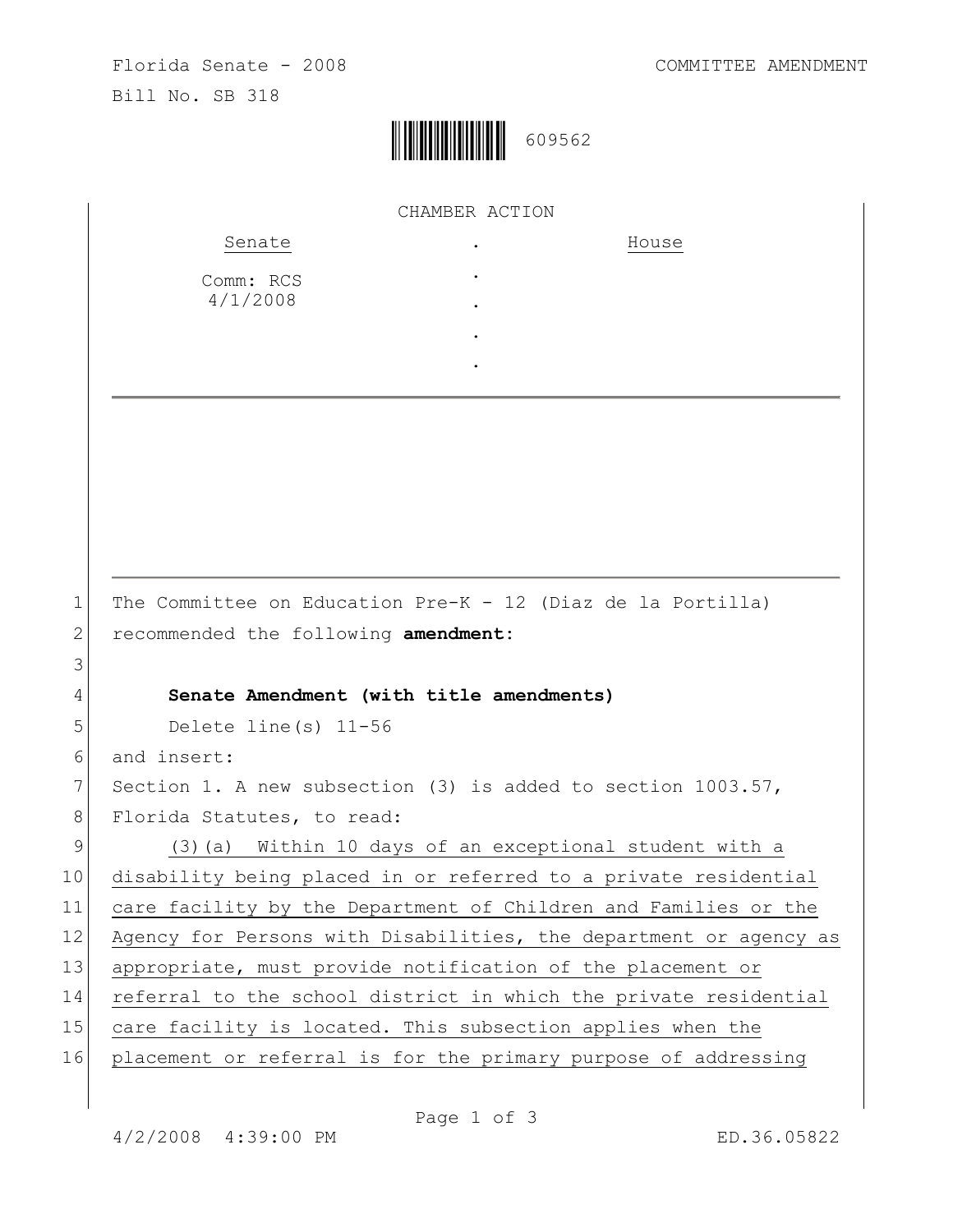

|             | CHAMBER ACTION                                                    |
|-------------|-------------------------------------------------------------------|
|             | Senate<br>House                                                   |
|             | Comm: RCS                                                         |
|             | 4/1/2008                                                          |
|             |                                                                   |
|             |                                                                   |
|             |                                                                   |
|             |                                                                   |
|             |                                                                   |
|             |                                                                   |
|             |                                                                   |
|             |                                                                   |
| $\mathbf 1$ | The Committee on Education Pre-K - 12 (Diaz de la Portilla)       |
| 2           | recommended the following amendment:                              |
| 3           |                                                                   |
| 4           | Senate Amendment (with title amendments)                          |
| 5           | Delete line (s) $11-56$                                           |
| 6           | and insert:                                                       |
| 7           | Section 1. A new subsection (3) is added to section 1003.57,      |
| 8           | Florida Statutes, to read:                                        |
| 9           | (3) (a) Within 10 days of an exceptional student with a           |
| 10          | disability being placed in or referred to a private residential   |
| 11          | care facility by the Department of Children and Families or the   |
| 12          | Agency for Persons with Disabilities, the department or agency as |
| 13          | appropriate, must provide notification of the placement or        |
| 14          | referral to the school district in which the private residential  |
| 15          | care facility is located. This subsection applies when the        |
| 16          | placement or referral is for the primary purpose of addressing    |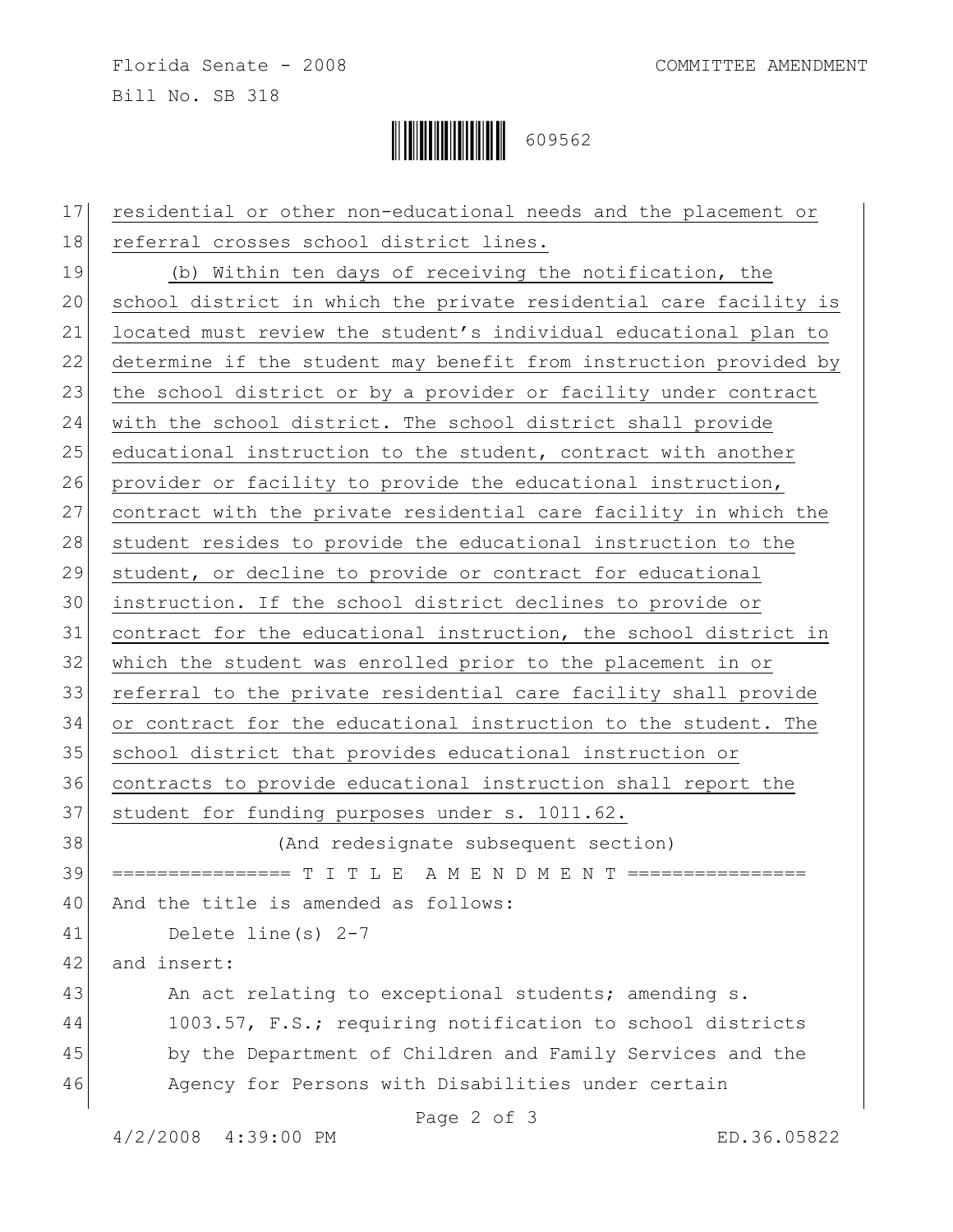Florida Senate - 2008 COMMITTEE AMENDMENT Bill No. SB 318



| 17 | residential or other non-educational needs and the placement or   |
|----|-------------------------------------------------------------------|
| 18 | referral crosses school district lines.                           |
| 19 | (b) Within ten days of receiving the notification, the            |
| 20 | school district in which the private residential care facility is |
| 21 | located must review the student's individual educational plan to  |
| 22 | determine if the student may benefit from instruction provided by |
| 23 | the school district or by a provider or facility under contract   |
| 24 | with the school district. The school district shall provide       |
| 25 | educational instruction to the student, contract with another     |
| 26 | provider or facility to provide the educational instruction,      |
| 27 | contract with the private residential care facility in which the  |
| 28 | student resides to provide the educational instruction to the     |
| 29 | student, or decline to provide or contract for educational        |
| 30 | instruction. If the school district declines to provide or        |
| 31 | contract for the educational instruction, the school district in  |
| 32 | which the student was enrolled prior to the placement in or       |
| 33 | referral to the private residential care facility shall provide   |
| 34 | or contract for the educational instruction to the student. The   |
| 35 | school district that provides educational instruction or          |
| 36 | contracts to provide educational instruction shall report the     |
| 37 | student for funding purposes under s. 1011.62.                    |
| 38 | (And redesignate subsequent section)                              |
| 39 |                                                                   |
| 40 | And the title is amended as follows:                              |
| 41 | Delete line (s) $2-7$                                             |
| 42 | and insert:                                                       |
| 43 | An act relating to exceptional students; amending s.              |
| 44 | 1003.57, F.S.; requiring notification to school districts         |
| 45 | by the Department of Children and Family Services and the         |
| 46 | Agency for Persons with Disabilities under certain                |
|    | Page 2 of 3                                                       |

4/2/2008 4:39:00 PM ED.36.05822